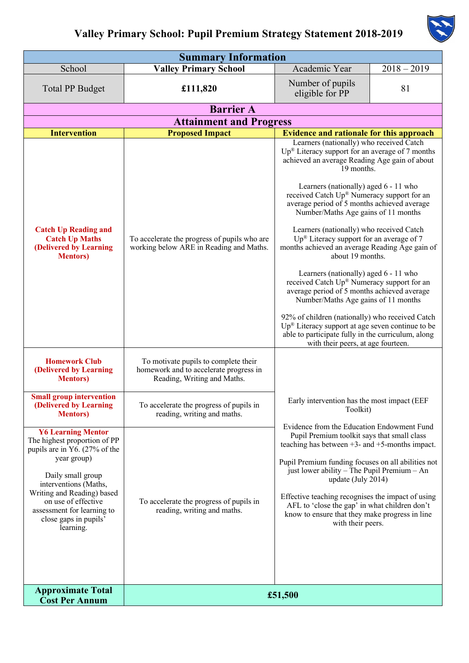

| <b>Summary Information</b>                                                                                                                                                                                                                                                       |                                                                                                               |                                                                                                                                                                                                                                                                                                                                                                                                                                                                                                                                                                                                                                                                                                                                                                                                                                                                   |               |  |  |  |  |
|----------------------------------------------------------------------------------------------------------------------------------------------------------------------------------------------------------------------------------------------------------------------------------|---------------------------------------------------------------------------------------------------------------|-------------------------------------------------------------------------------------------------------------------------------------------------------------------------------------------------------------------------------------------------------------------------------------------------------------------------------------------------------------------------------------------------------------------------------------------------------------------------------------------------------------------------------------------------------------------------------------------------------------------------------------------------------------------------------------------------------------------------------------------------------------------------------------------------------------------------------------------------------------------|---------------|--|--|--|--|
| School                                                                                                                                                                                                                                                                           | <b>Valley Primary School</b>                                                                                  | Academic Year                                                                                                                                                                                                                                                                                                                                                                                                                                                                                                                                                                                                                                                                                                                                                                                                                                                     | $2018 - 2019$ |  |  |  |  |
| <b>Total PP Budget</b>                                                                                                                                                                                                                                                           | £111,820                                                                                                      | Number of pupils<br>eligible for PP                                                                                                                                                                                                                                                                                                                                                                                                                                                                                                                                                                                                                                                                                                                                                                                                                               | 81            |  |  |  |  |
| <b>Barrier A</b>                                                                                                                                                                                                                                                                 |                                                                                                               |                                                                                                                                                                                                                                                                                                                                                                                                                                                                                                                                                                                                                                                                                                                                                                                                                                                                   |               |  |  |  |  |
| <b>Attainment and Progress</b>                                                                                                                                                                                                                                                   |                                                                                                               |                                                                                                                                                                                                                                                                                                                                                                                                                                                                                                                                                                                                                                                                                                                                                                                                                                                                   |               |  |  |  |  |
| <b>Intervention</b>                                                                                                                                                                                                                                                              | <b>Proposed Impact</b>                                                                                        | <b>Evidence and rationale for this approach</b><br>Learners (nationally) who received Catch                                                                                                                                                                                                                                                                                                                                                                                                                                                                                                                                                                                                                                                                                                                                                                       |               |  |  |  |  |
| <b>Catch Up Reading and</b><br><b>Catch Up Maths</b><br>(Delivered by Learning<br><b>Mentors</b> )                                                                                                                                                                               | To accelerate the progress of pupils who are<br>working below ARE in Reading and Maths.                       | $Up^{\circledR}$ Literacy support for an average of 7 months<br>achieved an average Reading Age gain of about<br>19 months.<br>Learners (nationally) aged 6 - 11 who<br>received Catch Up® Numeracy support for an<br>average period of 5 months achieved average<br>Number/Maths Age gains of 11 months<br>Learners (nationally) who received Catch<br>$Up^{\otimes}$ Literacy support for an average of 7<br>months achieved an average Reading Age gain of<br>about 19 months.<br>Learners (nationally) aged 6 - 11 who<br>received Catch Up® Numeracy support for an<br>average period of 5 months achieved average<br>Number/Maths Age gains of 11 months<br>92% of children (nationally) who received Catch<br>Up® Literacy support at age seven continue to be<br>able to participate fully in the curriculum, along<br>with their peers, at age fourteen. |               |  |  |  |  |
| <b>Homework Club</b><br>(Delivered by Learning<br><b>Mentors</b> )                                                                                                                                                                                                               | To motivate pupils to complete their<br>homework and to accelerate progress in<br>Reading, Writing and Maths. |                                                                                                                                                                                                                                                                                                                                                                                                                                                                                                                                                                                                                                                                                                                                                                                                                                                                   |               |  |  |  |  |
| <b>Small group intervention</b><br>(Delivered by Learning<br><b>Mentors</b> )                                                                                                                                                                                                    | To accelerate the progress of pupils in<br>reading, writing and maths.                                        | Early intervention has the most impact (EEF<br>Toolkit)                                                                                                                                                                                                                                                                                                                                                                                                                                                                                                                                                                                                                                                                                                                                                                                                           |               |  |  |  |  |
| <b>Y6 Learning Mentor</b><br>The highest proportion of PP<br>pupils are in Y6. (27% of the<br>year group)<br>Daily small group<br>interventions (Maths,<br>Writing and Reading) based<br>on use of effective<br>assessment for learning to<br>close gaps in pupils'<br>learning. | To accelerate the progress of pupils in<br>reading, writing and maths.                                        | Evidence from the Education Endowment Fund<br>Pupil Premium toolkit says that small class<br>teaching has between $+3$ - and $+5$ -months impact.<br>Pupil Premium funding focuses on all abilities not<br>just lower ability - The Pupil Premium - An<br>update (July 2014)<br>Effective teaching recognises the impact of using<br>AFL to 'close the gap' in what children don't<br>know to ensure that they make progress in line<br>with their peers.                                                                                                                                                                                                                                                                                                                                                                                                         |               |  |  |  |  |
| <b>Approximate Total</b><br><b>Cost Per Annum</b>                                                                                                                                                                                                                                | £51,500                                                                                                       |                                                                                                                                                                                                                                                                                                                                                                                                                                                                                                                                                                                                                                                                                                                                                                                                                                                                   |               |  |  |  |  |